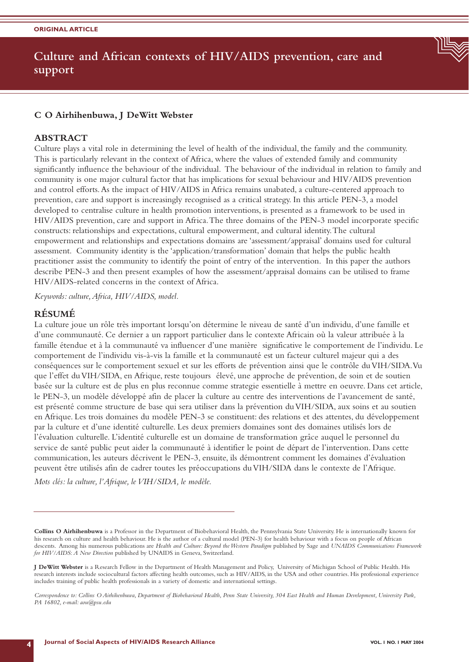# **Culture and African contexts of HIV/AIDS prevention, care and support**

## **C O Airhihenbuwa, J DeWitt Webster**

### **ABSTRACT**

Culture plays a vital role in determining the level of health of the individual, the family and the community. This is particularly relevant in the context of Africa, where the values of extended family and community significantly influence the behaviour of the individual. The behaviour of the individual in relation to family and community is one major cultural factor that has implications for sexual behaviour and HIV/AIDS prevention and control efforts.As the impact of HIV/AIDS in Africa remains unabated, a culture-centered approach to prevention, care and support is increasingly recognised as a critical strategy. In this article PEN-3, a model developed to centralise culture in health promotion interventions, is presented as a framework to be used in HIV/AIDS prevention, care and support in Africa.The three domains of the PEN-3 model incorporate specific constructs: relationships and expectations, cultural empowerment, and cultural identity.The cultural empowerment and relationships and expectations domains are 'assessment/appraisal' domains used for cultural assessment. Community identity is the 'application/transformation' domain that helps the public health practitioner assist the community to identify the point of entry of the intervention. In this paper the authors describe PEN-3 and then present examples of how the assessment/appraisal domains can be utilised to frame HIV/AIDS-related concerns in the context of Africa.

*Keywords: culture,Africa, HIV/AIDS, model.*

## **RÉSUMÉ**

La culture joue un rôle très important lorsqu'on détermine le niveau de santé d'un individu, d'une famille et d'une communauté. Ce dernier a un rapport particulier dans le contexte Africain où la valeur attribuée à la famille étendue et à la communauté va influencer d'une manière significative le comportement de l'individu. Le comportement de l'individu vis-à-vis la famille et la communauté est un facteur culturel majeur qui a des conséquences sur le comportement sexuel et sur les efforts de prévention ainsi que le contrôle du VIH/SIDA.Vu que l'effet du VIH/SIDA, en Afrique, reste toujours élevé, une approche de prévention, de soin et de soutien basée sur la culture est de plus en plus reconnue comme strategie essentielle à mettre en oeuvre. Dans cet article, le PEN-3, un modèle développé afin de placer la culture au centre des interventions de l'avancement de santé, est présenté comme structure de base qui sera utiliser dans la prévention du VIH/SIDA, aux soins et au soutien en Afrique. Les trois domaines du modèle PEN-3 se constituent: des relations et des attentes, du développement par la culture et d'une identité culturelle. Les deux premiers domaines sont des domaines utilisés lors de l'évaluation culturelle. L'identité culturelle est un domaine de transformation grâce auquel le personnel du service de santé public peut aider la communauté à identifier le point de départ de l'intervention. Dans cette communication, les auteurs décrivent le PEN-3, ensuite, ils démontrent comment les domaines d'évaluation peuvent être utilisés afin de cadrer toutes les préoccupations du VIH/SIDA dans le contexte de l'Afrique.

*Mots clés: la culture, l'Afrique, le VIH/SIDA, le modèle.*

**Collins O Airhihenbuwa** is a Professor in the Department of Biobehavioral Health, the Pennsylvania State University. He is internationally known for his research on culture and health behaviour. He is the author of a cultural model (PEN-3) for health behaviour with a focus on people of African descents. Among his numerous publications are *Health and Culture: Beyond the Western Paradigm* published by Sage and *UNAIDS Communications Framework for HIV/AIDS*: *A New Direction* published by UNAIDS in Geneva, Switzerland.

**J DeWitt Webster** is a Research Fellow in the Department of Health Management and Policy, University of Michigan School of Public Health. His research interests include sociocultural factors affecting health outcomes, such as HIV/AIDS, in the USA and other countries. His professional experience includes training of public health professionals in a variety of domestic and international settings.

*Correspondence to: Collins O Airhihenbuwa, Department of Biobehavioral Health, Penn State University, 304 East Health and Human Development, University Park, PA 16802, e-mail: aou@psu.edu*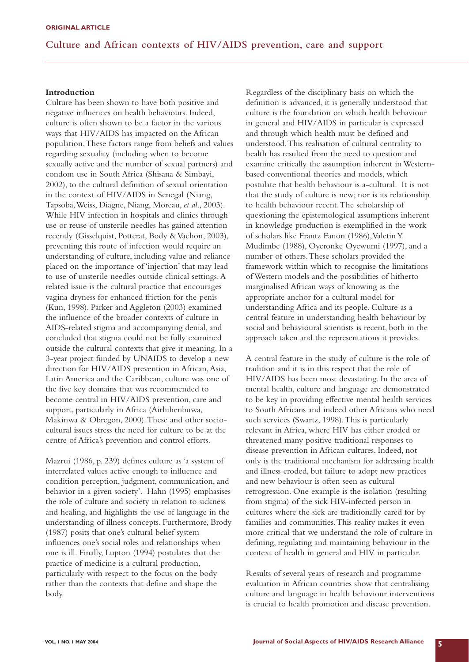#### **Introduction**

Culture has been shown to have both positive and negative influences on health behaviours. Indeed, culture is often shown to be a factor in the various ways that HIV/AIDS has impacted on the African population.These factors range from beliefs and values regarding sexuality (including when to become sexually active and the number of sexual partners) and condom use in South Africa (Shisana & Simbayi, 2002), to the cultural definition of sexual orientation in the context of HIV/AIDS in Senegal (Niang, Tapsoba,Weiss, Diagne, Niang, Moreau, *et al*., 2003). While HIV infection in hospitals and clinics through use or reuse of unsterile needles has gained attention recently (Gisselquist, Potterat, Body & Vachon, 2003), preventing this route of infection would require an understanding of culture, including value and reliance placed on the importance of 'injection' that may lead to use of unsterile needles outside clinical settings.A related issue is the cultural practice that encourages vagina dryness for enhanced friction for the penis (Kun, 1998). Parker and Aggleton (2003) examined the influence of the broader contexts of culture in AIDS-related stigma and accompanying denial, and concluded that stigma could not be fully examined outside the cultural contexts that give it meaning. In a 3-year project funded by UNAIDS to develop a new direction for HIV/AIDS prevention in African, Asia, Latin America and the Caribbean, culture was one of the five key domains that was recommended to become central in HIV/AIDS prevention, care and support, particularly in Africa (Airhihenbuwa, Makinwa & Obregon, 2000).These and other sociocultural issues stress the need for culture to be at the centre of Africa's prevention and control efforts.

Mazrui (1986, p. 239) defines culture as 'a system of interrelated values active enough to influence and condition perception, judgment, communication, and behavior in a given society'. Hahn (1995) emphasises the role of culture and society in relation to sickness and healing, and highlights the use of language in the understanding of illness concepts. Furthermore, Brody (1987) posits that one's cultural belief system influences one's social roles and relationships when one is ill. Finally, Lupton (1994) postulates that the practice of medicine is a cultural production, particularly with respect to the focus on the body rather than the contexts that define and shape the body.

Regardless of the disciplinary basis on which the definition is advanced, it is generally understood that culture is the foundation on which health behaviour in general and HIV/AIDS in particular is expressed and through which health must be defined and understood.This realisation of cultural centrality to health has resulted from the need to question and examine critically the assumption inherent in Westernbased conventional theories and models, which postulate that health behaviour is a-cultural. It is not that the study of culture is new; nor is its relationship to health behaviour recent.The scholarship of questioning the epistemological assumptions inherent in knowledge production is exemplified in the work of scholars like Frantz Fanon (1986), Valetin Y. Mudimbe (1988), Oyeronke Oyewumi (1997), and a number of others.These scholars provided the framework within which to recognise the limitations of Western models and the possibilities of hitherto marginalised African ways of knowing as the appropriate anchor for a cultural model for understanding Africa and its people. Culture as a central feature in understanding health behaviour by social and behavioural scientists is recent, both in the approach taken and the representations it provides.

A central feature in the study of culture is the role of tradition and it is in this respect that the role of HIV/AIDS has been most devastating. In the area of mental health, culture and language are demonstrated to be key in providing effective mental health services to South Africans and indeed other Africans who need such services (Swartz, 1998).This is particularly relevant in Africa, where HIV has either eroded or threatened many positive traditional responses to disease prevention in African cultures. Indeed, not only is the traditional mechanism for addressing health and illness eroded, but failure to adopt new practices and new behaviour is often seen as cultural retrogression. One example is the isolation (resulting from stigma) of the sick HIV-infected person in cultures where the sick are traditionally cared for by families and communities.This reality makes it even more critical that we understand the role of culture in defining, regulating and maintaining behaviour in the context of health in general and HIV in particular.

Results of several years of research and programme evaluation in African countries show that centralising culture and language in health behaviour interventions is crucial to health promotion and disease prevention.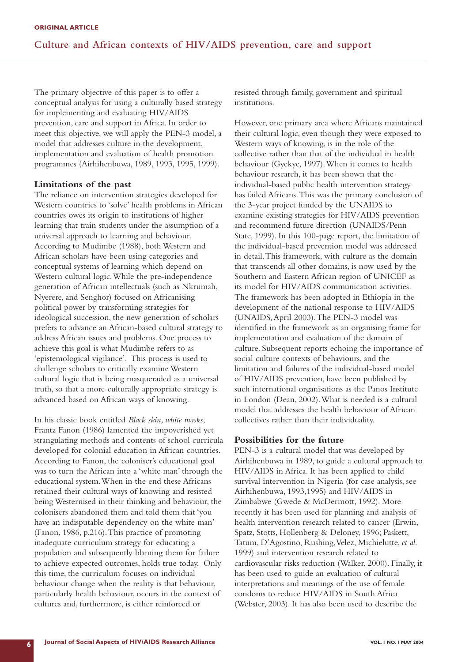The primary objective of this paper is to offer a conceptual analysis for using a culturally based strategy for implementing and evaluating HIV/AIDS prevention, care and support in Africa. In order to meet this objective, we will apply the PEN-3 model, a model that addresses culture in the development, implementation and evaluation of health promotion programmes (Airhihenbuwa, 1989, 1993, 1995, 1999).

### **Limitations of the past**

The reliance on intervention strategies developed for Western countries to 'solve' health problems in African countries owes its origin to institutions of higher learning that train students under the assumption of a universal approach to learning and behaviour. According to Mudimbe (1988), both Western and African scholars have been using categories and conceptual systems of learning which depend on Western cultural logic.While the pre-independence generation of African intellectuals (such as Nkrumah, Nyerere, and Senghor) focused on Africanising political power by transforming strategies for ideological succession, the new generation of scholars prefers to advance an African-based cultural strategy to address African issues and problems. One process to achieve this goal is what Mudimbe refers to as 'epistemological vigilance'. This process is used to challenge scholars to critically examine Western cultural logic that is being masqueraded as a universal truth, so that a more culturally appropriate strategy is advanced based on African ways of knowing.

In his classic book entitled *Black skin, white masks*, Frantz Fanon (1986) lamented the impoverished yet strangulating methods and contents of school curricula developed for colonial education in African countries. According to Fanon, the coloniser's educational goal was to turn the African into a 'white man' through the educational system.When in the end these Africans retained their cultural ways of knowing and resisted being Westernised in their thinking and behaviour, the colonisers abandoned them and told them that 'you have an indisputable dependency on the white man' (Fanon, 1986, p.216).This practice of promoting inadequate curriculum strategy for educating a population and subsequently blaming them for failure to achieve expected outcomes, holds true today. Only this time, the curriculum focuses on individual behaviour change when the reality is that behaviour, particularly health behaviour, occurs in the context of cultures and, furthermore, is either reinforced or

resisted through family, government and spiritual institutions.

However, one primary area where Africans maintained their cultural logic, even though they were exposed to Western ways of knowing, is in the role of the collective rather than that of the individual in health behaviour (Gyekye, 1997).When it comes to health behaviour research, it has been shown that the individual-based public health intervention strategy has failed Africans.This was the primary conclusion of the 3-year project funded by the UNAIDS to examine existing strategies for HIV/AIDS prevention and recommend future direction (UNAIDS/Penn State, 1999). In this 100-page report, the limitation of the individual-based prevention model was addressed in detail.This framework, with culture as the domain that transcends all other domains, is now used by the Southern and Eastern African region of UNICEF as its model for HIV/AIDS communication activities. The framework has been adopted in Ethiopia in the development of the national response to HIV/AIDS (UNAIDS,April 2003).The PEN-3 model was identified in the framework as an organising frame for implementation and evaluation of the domain of culture. Subsequent reports echoing the importance of social culture contexts of behaviours, and the limitation and failures of the individual-based model of HIV/AIDS prevention, have been published by such international organisations as the Panos Institute in London (Dean, 2002).What is needed is a cultural model that addresses the health behaviour of African collectives rather than their individuality.

## **Possibilities for the future**

PEN-3 is a cultural model that was developed by Airhihenbuwa in 1989, to guide a cultural approach to HIV/AIDS in Africa. It has been applied to child survival intervention in Nigeria (for case analysis, see Airhihenbuwa, 1993,1995) and HIV/AIDS in Zimbabwe (Gwede & McDermott, 1992). More recently it has been used for planning and analysis of health intervention research related to cancer (Erwin, Spatz, Stotts, Hollenberg & Deloney, 1996; Paskett, Tatum, D'Agostino, Rushing,Velez, Michielutte, *et al*. 1999) and intervention research related to cardiovascular risks reduction (Walker, 2000). Finally, it has been used to guide an evaluation of cultural interpretations and meanings of the use of female condoms to reduce HIV/AIDS in South Africa (Webster, 2003). It has also been used to describe the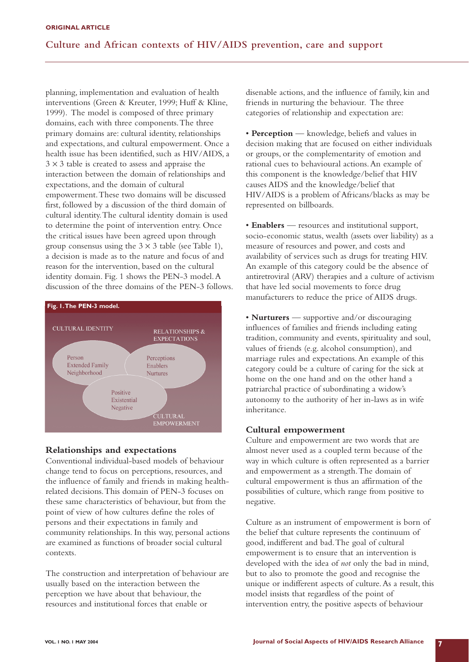planning, implementation and evaluation of health interventions (Green & Kreuter, 1999; Huff & Kline, 1999). The model is composed of three primary domains, each with three components.The three primary domains are: cultural identity, relationships and expectations, and cultural empowerment. Once a health issue has been identified, such as HIV/AIDS, a  $3 \times 3$  table is created to assess and appraise the interaction between the domain of relationships and expectations, and the domain of cultural empowerment.These two domains will be discussed first, followed by a discussion of the third domain of cultural identity.The cultural identity domain is used to determine the point of intervention entry. Once the critical issues have been agreed upon through group consensus using the  $3 \times 3$  table (see Table 1), a decision is made as to the nature and focus of and reason for the intervention, based on the cultural identity domain. Fig. 1 shows the PEN-3 model.A discussion of the three domains of the PEN-3 follows.



### **Relationships and expectations**

Conventional individual-based models of behaviour change tend to focus on perceptions, resources, and the influence of family and friends in making healthrelated decisions.This domain of PEN-3 focuses on these same characteristics of behaviour, but from the point of view of how cultures define the roles of persons and their expectations in family and community relationships. In this way, personal actions are examined as functions of broader social cultural contexts.

The construction and interpretation of behaviour are usually based on the interaction between the perception we have about that behaviour, the resources and institutional forces that enable or

disenable actions, and the influence of family, kin and friends in nurturing the behaviour. The three categories of relationship and expectation are:

• **Perception** — knowledge, beliefs and values in decision making that are focused on either individuals or groups, or the complementarity of emotion and rational cues to behavioural actions.An example of this component is the knowledge/belief that HIV causes AIDS and the knowledge/belief that HIV/AIDS is a problem of Africans/blacks as may be represented on billboards.

• **Enablers** — resources and institutional support, socio-economic status, wealth (assets over liability) as a measure of resources and power, and costs and availability of services such as drugs for treating HIV. An example of this category could be the absence of antiretroviral (ARV) therapies and a culture of activism that have led social movements to force drug manufacturers to reduce the price of AIDS drugs.

• **Nurturers** — supportive and/or discouraging influences of families and friends including eating tradition, community and events, spirituality and soul, values of friends (e.g. alcohol consumption), and marriage rules and expectations.An example of this category could be a culture of caring for the sick at home on the one hand and on the other hand a patriarchal practice of subordinating a widow's autonomy to the authority of her in-laws as in wife inheritance.

#### **Cultural empowerment**

Culture and empowerment are two words that are almost never used as a coupled term because of the way in which culture is often represented as a barrier and empowerment as a strength.The domain of cultural empowerment is thus an affirmation of the possibilities of culture, which range from positive to negative.

Culture as an instrument of empowerment is born of the belief that culture represents the continuum of good, indifferent and bad.The goal of cultural empowerment is to ensure that an intervention is developed with the idea of *not* only the bad in mind, but to also to promote the good and recognise the unique or indifferent aspects of culture.As a result, this model insists that regardless of the point of intervention entry, the positive aspects of behaviour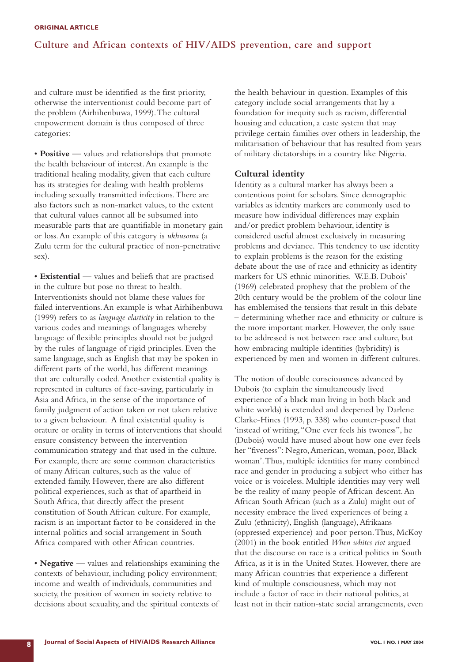and culture must be identified as the first priority, otherwise the interventionist could become part of the problem (Airhihenbuwa, 1999).The cultural empowerment domain is thus composed of three categories:

• **Positive** — values and relationships that promote the health behaviour of interest.An example is the traditional healing modality, given that each culture has its strategies for dealing with health problems including sexually transmitted infections.There are also factors such as non-market values, to the extent that cultural values cannot all be subsumed into measurable parts that are quantifiable in monetary gain or loss.An example of this category is *ukhusoma* (a Zulu term for the cultural practice of non-penetrative sex).

• **Existential** — values and beliefs that are practised in the culture but pose no threat to health. Interventionists should not blame these values for failed interventions.An example is what Airhihenbuwa (1999) refers to as *language elasticity* in relation to the various codes and meanings of languages whereby language of flexible principles should not be judged by the rules of language of rigid principles. Even the same language, such as English that may be spoken in different parts of the world, has different meanings that are culturally coded.Another existential quality is represented in cultures of face-saving, particularly in Asia and Africa, in the sense of the importance of family judgment of action taken or not taken relative to a given behaviour. A final existential quality is orature or orality in terms of interventions that should ensure consistency between the intervention communication strategy and that used in the culture. For example, there are some common characteristics of many African cultures, such as the value of extended family. However, there are also different political experiences, such as that of apartheid in South Africa, that directly affect the present constitution of South African culture. For example, racism is an important factor to be considered in the internal politics and social arrangement in South Africa compared with other African countries.

• **Negative** — values and relationships examining the contexts of behaviour, including policy environment; income and wealth of individuals, communities and society, the position of women in society relative to decisions about sexuality, and the spiritual contexts of the health behaviour in question. Examples of this category include social arrangements that lay a foundation for inequity such as racism, differential housing and education, a caste system that may privilege certain families over others in leadership, the militarisation of behaviour that has resulted from years of military dictatorships in a country like Nigeria.

## **Cultural identity**

Identity as a cultural marker has always been a contentious point for scholars. Since demographic variables as identity markers are commonly used to measure how individual differences may explain and/or predict problem behaviour, identity is considered useful almost exclusively in measuring problems and deviance. This tendency to use identity to explain problems is the reason for the existing debate about the use of race and ethnicity as identity markers for US ethnic minorities. W.E.B. Dubois' (1969) celebrated prophesy that the problem of the 20th century would be the problem of the colour line has emblemised the tensions that result in this debate – determining whether race and ethnicity or culture is the more important marker. However, the only issue to be addressed is not between race and culture, but how embracing multiple identities (hybridity) is experienced by men and women in different cultures.

The notion of double consciousness advanced by Dubois (to explain the simultaneously lived experience of a black man living in both black and white worlds) is extended and deepened by Darlene Clarke-Hines (1993, p. 338) who counter-posed that 'instead of writing,"One ever feels his twoness", he (Dubois) would have mused about how one ever feels her "fiveness": Negro,American, woman, poor, Black woman'.Thus, multiple identities for many combined race and gender in producing a subject who either has voice or is voiceless. Multiple identities may very well be the reality of many people of African descent.An African South African (such as a Zulu) might out of necessity embrace the lived experiences of being a Zulu (ethnicity), English (language),Afrikaans (oppressed experience) and poor person.Thus, McKoy (2001) in the book entitled *When whites riot* argued that the discourse on race is a critical politics in South Africa, as it is in the United States. However, there are many African countries that experience a different kind of multiple consciousness, which may not include a factor of race in their national politics, at least not in their nation-state social arrangements, even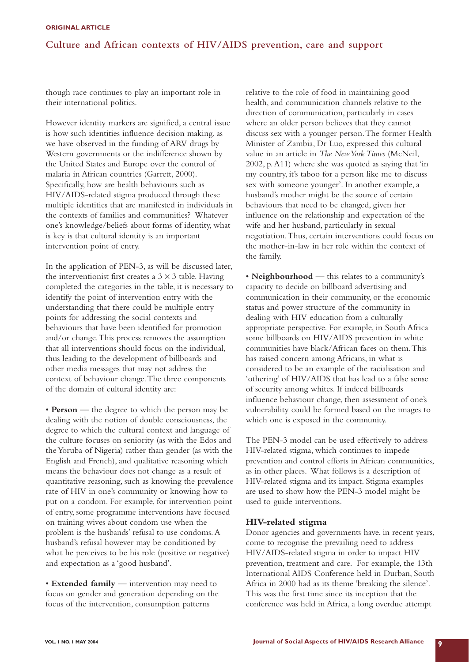though race continues to play an important role in their international politics.

However identity markers are signified, a central issue is how such identities influence decision making, as we have observed in the funding of ARV drugs by Western governments or the indifference shown by the United States and Europe over the control of malaria in African countries (Garrett, 2000). Specifically, how are health behaviours such as HIV/AIDS-related stigma produced through these multiple identities that are manifested in individuals in the contexts of families and communities? Whatever one's knowledge/beliefs about forms of identity, what is key is that cultural identity is an important intervention point of entry.

In the application of PEN-3, as will be discussed later, the interventionist first creates a  $3 \times 3$  table. Having completed the categories in the table, it is necessary to identify the point of intervention entry with the understanding that there could be multiple entry points for addressing the social contexts and behaviours that have been identified for promotion and/or change.This process removes the assumption that all interventions should focus on the individual, thus leading to the development of billboards and other media messages that may not address the context of behaviour change.The three components of the domain of cultural identity are:

• **Person** — the degree to which the person may be dealing with the notion of double consciousness, the degree to which the cultural context and language of the culture focuses on seniority (as with the Edos and the Yoruba of Nigeria) rather than gender (as with the English and French), and qualitative reasoning which means the behaviour does not change as a result of quantitative reasoning, such as knowing the prevalence rate of HIV in one's community or knowing how to put on a condom. For example, for intervention point of entry, some programme interventions have focused on training wives about condom use when the problem is the husbands' refusal to use condoms.A husband's refusal however may be conditioned by what he perceives to be his role (positive or negative) and expectation as a 'good husband'.

• **Extended family** — intervention may need to focus on gender and generation depending on the focus of the intervention, consumption patterns

relative to the role of food in maintaining good health, and communication channels relative to the direction of communication, particularly in cases where an older person believes that they cannot discuss sex with a younger person.The former Health Minister of Zambia, Dr Luo, expressed this cultural value in an article in *The New York Times* (McNeil, 2002, p.A11) where she was quoted as saying that 'in my country, it's taboo for a person like me to discuss sex with someone younger'. In another example, a husband's mother might be the source of certain behaviours that need to be changed, given her influence on the relationship and expectation of the wife and her husband, particularly in sexual negotiation.Thus, certain interventions could focus on the mother-in-law in her role within the context of the family.

• **Neighbourhood** — this relates to a community's capacity to decide on billboard advertising and communication in their community, or the economic status and power structure of the community in dealing with HIV education from a culturally appropriate perspective. For example, in South Africa some billboards on HIV/AIDS prevention in white communities have black/African faces on them.This has raised concern among Africans, in what is considered to be an example of the racialisation and 'othering' of HIV/AIDS that has lead to a false sense of security among whites. If indeed billboards influence behaviour change, then assessment of one's vulnerability could be formed based on the images to which one is exposed in the community.

The PEN-3 model can be used effectively to address HIV-related stigma, which continues to impede prevention and control efforts in African communities, as in other places. What follows is a description of HIV-related stigma and its impact. Stigma examples are used to show how the PEN-3 model might be used to guide interventions.

#### **HIV-related stigma**

Donor agencies and governments have, in recent years, come to recognise the prevailing need to address HIV/AIDS-related stigma in order to impact HIV prevention, treatment and care. For example, the 13th International AIDS Conference held in Durban, South Africa in 2000 had as its theme 'breaking the silence'. This was the first time since its inception that the conference was held in Africa, a long overdue attempt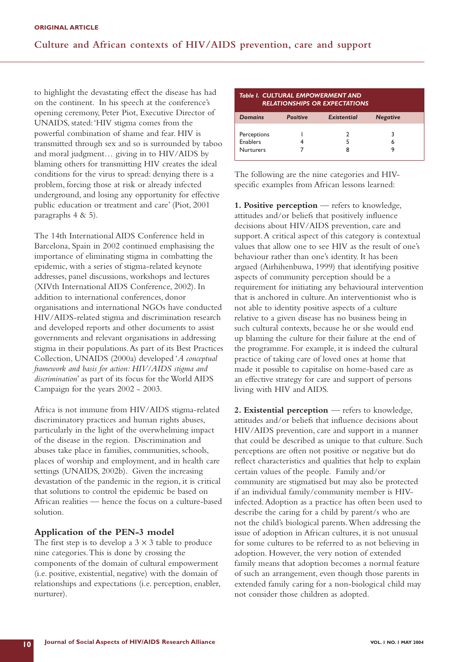to highlight the devastating effect the disease has had on the continent. In his speech at the conference's opening ceremony, Peter Piot, Executive Director of UNAIDS, stated:'HIV stigma comes from the powerful combination of shame and fear. HIV is transmitted through sex and so is surrounded by taboo and moral judgment… giving in to HIV/AIDS by blaming others for transmitting HIV creates the ideal conditions for the virus to spread: denying there is a problem, forcing those at risk or already infected underground, and losing any opportunity for effective public education or treatment and care' (Piot, 2001 paragraphs 4 & 5).

The 14th International AIDS Conference held in Barcelona, Spain in 2002 continued emphasising the importance of eliminating stigma in combatting the epidemic, with a series of stigma-related keynote addresses, panel discussions, workshops and lectures (XIVth International AIDS Conference, 2002). In addition to international conferences, donor organisations and international NGOs have conducted HIV/AIDS-related stigma and discrimination research and developed reports and other documents to assist governments and relevant organisations in addressing stigma in their populations.As part of its Best Practices Collection, UNAIDS (2000a) developed '*A conceptual framework and basis for action: HIV/AIDS stigma and discrimination*' as part of its focus for the World AIDS Campaign for the years 2002 - 2003.

Africa is not immune from HIV/AIDS stigma-related discriminatory practices and human rights abuses, particularly in the light of the overwhelming impact of the disease in the region. Discrimination and abuses take place in families, communities, schools, places of worship and employment, and in health care settings (UNAIDS, 2002b). Given the increasing devastation of the pandemic in the region, it is critical that solutions to control the epidemic be based on African realities — hence the focus on a culture-based solution.

## **Application of the PEN-3 model**

The first step is to develop a  $3 \times 3$  table to produce nine categories.This is done by crossing the components of the domain of cultural empowerment (i.e. positive, existential, negative) with the domain of relationships and expectations (i.e. perception, enabler, nurturer).

| <b>Table I. CULTURAL EMPOWERMENT AND</b><br><b>RELATIONSHIPS OR EXPECTATIONS</b> |                    |                 |
|----------------------------------------------------------------------------------|--------------------|-----------------|
| <b>Positive</b>                                                                  | <b>Existential</b> | <b>Negative</b> |
|                                                                                  | っ                  |                 |
|                                                                                  | 8                  | 6<br>9          |
|                                                                                  |                    | 5               |

The following are the nine categories and HIVspecific examples from African lessons learned:

**1. Positive perception** — refers to knowledge, attitudes and/or beliefs that positively influence decisions about HIV/AIDS prevention, care and support.A critical aspect of this category is contextual values that allow one to see HIV as the result of one's behaviour rather than one's identity. It has been argued (Airhihenbuwa, 1999) that identifying positive aspects of community perception should be a requirement for initiating any behavioural intervention that is anchored in culture.An interventionist who is not able to identity positive aspects of a culture relative to a given disease has no business being in such cultural contexts, because he or she would end up blaming the culture for their failure at the end of the programme. For example, it is indeed the cultural practice of taking care of loved ones at home that made it possible to capitalise on home-based care as an effective strategy for care and support of persons living with HIV and AIDS.

2. Existential perception — refers to knowledge, attitudes and/or beliefs that influence decisions about HIV/AIDS prevention, care and support in a manner that could be described as unique to that culture. Such perceptions are often not positive or negative but do reflect characteristics and qualities that help to explain certain values of the people. Family and/or community are stigmatised but may also be protected if an individual family/community member is HIVinfected.Adoption as a practice has often been used to describe the caring for a child by parent/s who are not the child's biological parents.When addressing the issue of adoption in African cultures, it is not unusual for some cultures to be referred to as not believing in adoption. However, the very notion of extended family means that adoption becomes a normal feature of such an arrangement, even though those parents in extended family caring for a non-biological child may not consider those children as adopted.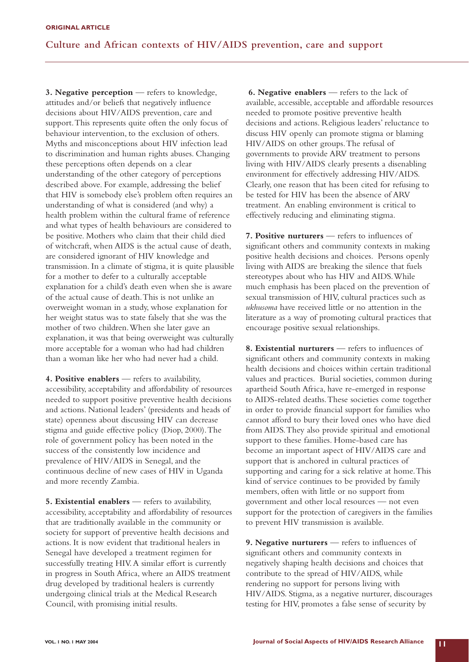**3. Negative perception** — refers to knowledge, attitudes and/or beliefs that negatively influence decisions about HIV/AIDS prevention, care and support.This represents quite often the only focus of behaviour intervention, to the exclusion of others. Myths and misconceptions about HIV infection lead to discrimination and human rights abuses. Changing these perceptions often depends on a clear understanding of the other category of perceptions described above. For example, addressing the belief that HIV is somebody else's problem often requires an understanding of what is considered (and why) a health problem within the cultural frame of reference and what types of health behaviours are considered to be positive. Mothers who claim that their child died of witchcraft, when AIDS is the actual cause of death, are considered ignorant of HIV knowledge and transmission. In a climate of stigma, it is quite plausible for a mother to defer to a culturally acceptable explanation for a child's death even when she is aware of the actual cause of death.This is not unlike an overweight woman in a study, whose explanation for her weight status was to state falsely that she was the mother of two children.When she later gave an explanation, it was that being overweight was culturally more acceptable for a woman who had had children than a woman like her who had never had a child.

**4. Positive enablers** — refers to availability, accessibility, acceptability and affordability of resources needed to support positive preventive health decisions and actions. National leaders' (presidents and heads of state) openness about discussing HIV can decrease stigma and guide effective policy (Diop, 2000).The role of government policy has been noted in the success of the consistently low incidence and prevalence of HIV/AIDS in Senegal, and the continuous decline of new cases of HIV in Uganda and more recently Zambia.

**5. Existential enablers** — refers to availability, accessibility, acceptability and affordability of resources that are traditionally available in the community or society for support of preventive health decisions and actions. It is now evident that traditional healers in Senegal have developed a treatment regimen for successfully treating HIV.A similar effort is currently in progress in South Africa, where an AIDS treatment drug developed by traditional healers is currently undergoing clinical trials at the Medical Research Council, with promising initial results.

**6. Negative enablers** — refers to the lack of available, accessible, acceptable and affordable resources needed to promote positive preventive health decisions and actions. Religious leaders' reluctance to discuss HIV openly can promote stigma or blaming HIV/AIDS on other groups.The refusal of governments to provide ARV treatment to persons living with HIV/AIDS clearly presents a disenabling environment for effectively addressing HIV/AIDS. Clearly, one reason that has been cited for refusing to be tested for HIV has been the absence of ARV treatment. An enabling environment is critical to effectively reducing and eliminating stigma.

**7. Positive nurturers** — refers to influences of significant others and community contexts in making positive health decisions and choices. Persons openly living with AIDS are breaking the silence that fuels stereotypes about who has HIV and AIDS.While much emphasis has been placed on the prevention of sexual transmission of HIV, cultural practices such as *ukhusoma* have received little or no attention in the literature as a way of promoting cultural practices that encourage positive sexual relationships.

**8. Existential nurturers** — refers to influences of significant others and community contexts in making health decisions and choices within certain traditional values and practices. Burial societies, common during apartheid South Africa, have re-emerged in response to AIDS-related deaths.These societies come together in order to provide financial support for families who cannot afford to bury their loved ones who have died from AIDS.They also provide spiritual and emotional support to these families. Home-based care has become an important aspect of HIV/AIDS care and support that is anchored in cultural practices of supporting and caring for a sick relative at home.This kind of service continues to be provided by family members, often with little or no support from government and other local resources — not even support for the protection of caregivers in the families to prevent HIV transmission is available.

**9. Negative nurturers** — refers to influences of significant others and community contexts in negatively shaping health decisions and choices that contribute to the spread of HIV/AIDS, while rendering no support for persons living with HIV/AIDS. Stigma, as a negative nurturer, discourages testing for HIV, promotes a false sense of security by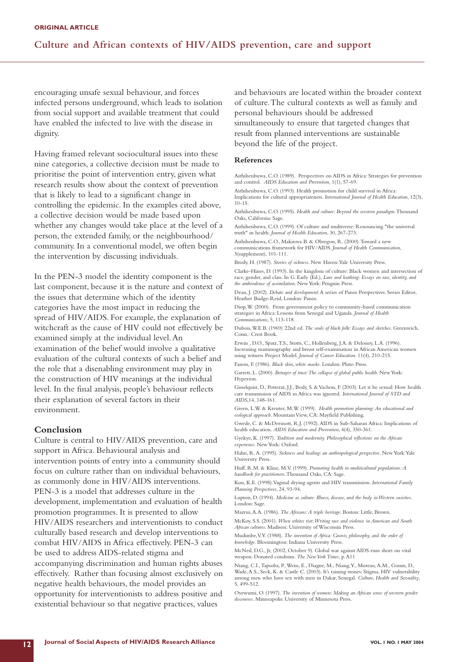encouraging unsafe sexual behaviour, and forces infected persons underground, which leads to isolation from social support and available treatment that could have enabled the infected to live with the disease in dignity.

Having framed relevant sociocultural issues into these nine categories, a collective decision must be made to prioritise the point of intervention entry, given what research results show about the context of prevention that is likely to lead to a significant change in controlling the epidemic. In the examples cited above, a collective decision would be made based upon whether any changes would take place at the level of a person, the extended family, or the neighbourhood/ community. In a conventional model, we often begin the intervention by discussing individuals.

In the PEN-3 model the identity component is the last component, because it is the nature and context of the issues that determine which of the identity categories have the most impact in reducing the spread of HIV/AIDS. For example, the explanation of witchcraft as the cause of HIV could not effectively be examined simply at the individual level.An examination of the belief would involve a qualitative evaluation of the cultural contexts of such a belief and the role that a disenabling environment may play in the construction of HIV meanings at the individual level. In the final analysis, people's behaviour reflects their explanation of several factors in their environment.

#### **Conclusion**

Culture is central to HIV/AIDS prevention, care and support in Africa. Behavioural analysis and intervention points of entry into a community should focus on culture rather than on individual behaviours, as commonly done in HIV/AIDS interventions. PEN-3 is a model that addresses culture in the development, implementation and evaluation of health promotion programmes. It is presented to allow HIV/AIDS researchers and interventionists to conduct culturally based research and develop interventions to combat HIV/AIDS in Africa effectively. PEN-3 can be used to address AIDS-related stigma and accompanying discrimination and human rights abuses effectively. Rather than focusing almost exclusively on negative health behaviours, the model provides an opportunity for interventionists to address positive and existential behaviour so that negative practices, values

and behaviours are located within the broader context of culture.The cultural contexts as well as family and personal behaviours should be addressed simultaneously to ensure that targeted changes that result from planned interventions are sustainable beyond the life of the project.

#### **References**

Airhihenbuwa, C.O. (1989). Perspectives on AIDS in Africa: Strategies for prevention and control. *AIDS Education and Prevention*, 1(1), 57-69.

Airhihenbuwa, C.O. (1993). Health promotion for child survival in Africa:

Implications for cultural appropriateness. *International Journal of Health Education*, 12(3), 10-15.

Airhihenbuwa, C.O. (1995). *Health and culture: Beyond the western paradigm*.Thousand Oaks, California: Sage.

Airhihenbuwa, C.O. (1999). Of culture and multiverse: Renouncing "the universal truth" in health. *Journal of Health Education*, 30, 267-273.

Airhihenbuwa, C.O., Makinwa B. & Obregon, R. (2000).Toward a new communications framework for HIV/AIDS. *Journal of Health Communication*, 5(supplement), 101-111.

Brody, H. (1987). *Stories of sickness*. New Haven:Yale University Press.

Clarke-Hines, D. (1993). In the kingdom of culture: Black women and intersection of race, gender, and class. In G. Early (Ed.), *Lure and loathing: Essays on race, identity, and the ambivalence of assimilation*. NewYork: Penguin Press.

Dean, J. (2002). *Debate and development*:A series of Panos Perspectives. Series Editor, Heather Budge-Reid, London: Panos.

Diop,W. (2000). From government policy to community-based communication strategies in Africa: Lessons from Senegal and Uganda. *Journal of Health Communications*, 5, 113-118.

Dubois,W.E.B. (1969) 22nd ed.*The souls of black folk: Essays and sketches*. Greenwich, Conn.: Crest Book.

Erwin , D.O., Spatz,T.S., Stotts, C., Hollenberg, J.A. & Deloney, L.A. (1996). Increasing mammography and breast self-examination in African American women using witness Project Model. *Journal of Cancer Education*. 11(4), 210-215.

Fanon, F. (1986). *Black skin, white masks*. London: Pluto Press.

Garrett, L. (2000). *Betrayer of trust:The collapse of global public health*. NewYork: **Hyperion** 

Gisselquist, D., Potterat, J.J., Body, S. & Vachon, F. (2003). Let it be sexual: How health care transmission of AIDS in Africa was ignored. *International Journal of STD and AIDS*,14, 148-161.

Green, L.W. & Kreuter, M.W. (1999). *Health promotion planning:An educational and ecological approach*. Mountain View, CA: Mayfield Publishing.

Gwede, C. & McDermott, R.J. (1992).AIDS in Sub-Saharan Africa: Implications of health education. *AIDS Education and Prevention*, 4(4), 350-361.

Gyekye, K. (1997). *Tradition and modernity. Philosophical reflections on the African experience*. NewYork: Oxford.

Hahn, R.A. (1995). *Sickness and healing: an anthropological perspective*. NewYork:Yale University Press.

Huff, R.M. & Kline, M.V. (1999). *Promoting health in muliticultural populations:A handbook for practitioners*.Thousand Oaks, CA: Sage.

Kun, K.E. (1998).Vaginal drying agents and HIV transmission. *International Family Planning Perspectives*, 24, 93-94.

Lupton, D. (1994). *Medicine as culture: Illness, disease, and the body in Western societies*. London: Sage.

Mazrui,A.A. (1986). *The Africans:A triple heritage*. Boston: Little, Brown.

McKoy, S.S. (2001).*When whites riot:Writing race and violence in American and South African cultures*. Madison: University of Wisconsin Press.

Mudimbe,V.Y. (1988). *The invention of Africa: Gnosis, philosophy, and the order of knowledge*. Bloomington: Indiana University Press.

McNeil, D.G., Jr, (2002, October 9). Global war against AIDS runs short on vital weapon: Donated condoms. *The New York Times*, p.A11

Niang, C.I.,Tapsoba, P.,Weiss, E., Diagne, M., Niang,Y., Moreau,A.M., Gomis, D., Wade,A.S., Seck, K. & Castle C. (2003). It's raining stones: Stigma, HIV vulnerability among men who have sex with men in Dakar, Senegal. *Culture, Health and Sexuality*, 5, 499-512.

Oyewumi, O. (1997). *The invention of women: Making an African sense of western gender discourses*. Minneapolis: University of Minnesota Press.